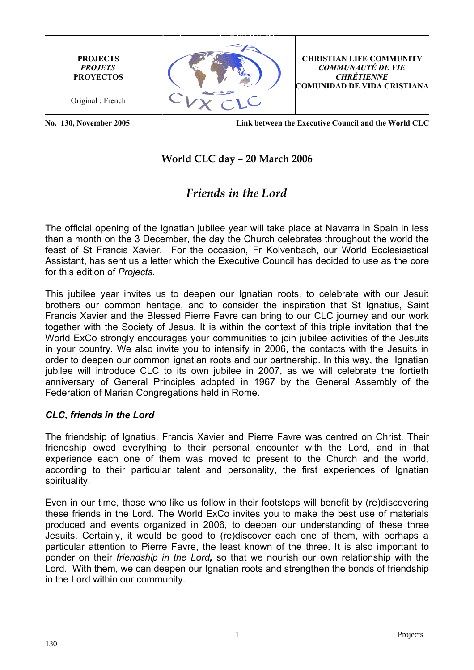**PROJECTS** *PROJETS* **PROYECTOS**

Original : French



**CHRISTIAN LIFE COMMUNITY** *COMMUNAUTÉ DE VIE CHRÉTIENNE* **COMUNIDAD DE VIDA CRISTIANA**

 **No. 130, November 2005 Link between the Executive Council and the World CLC**

## **World CLC day – 20 March 2006**

# *Friends in the Lord*

The official opening of the Ignatian jubilee year will take place at Navarra in Spain in less than a month on the 3 December, the day the Church celebrates throughout the world the feast of St Francis Xavier. For the occasion, Fr Kolvenbach, our World Ecclesiastical Assistant, has sent us a letter which the Executive Council has decided to use as the core for this edition of *Projects.*

This jubilee year invites us to deepen our Ignatian roots, to celebrate with our Jesuit brothers our common heritage, and to consider the inspiration that St Ignatius, Saint Francis Xavier and the Blessed Pierre Favre can bring to our CLC journey and our work together with the Society of Jesus. It is within the context of this triple invitation that the World ExCo strongly encourages your communities to join jubilee activities of the Jesuits in your country. We also invite you to intensify in 2006, the contacts with the Jesuits in order to deepen our common ignatian roots and our partnership. In this way, the Ignatian jubilee will introduce CLC to its own jubilee in 2007, as we will celebrate the fortieth anniversary of General Principles adopted in 1967 by the General Assembly of the Federation of Marian Congregations held in Rome.

#### *CLC, friends in the Lord*

The friendship of Ignatius, Francis Xavier and Pierre Favre was centred on Christ. Their friendship owed everything to their personal encounter with the Lord, and in that experience each one of them was moved to present to the Church and the world, according to their particular talent and personality, the first experiences of Ignatian spirituality.

Even in our time, those who like us follow in their footsteps will benefit by (re)discovering these friends in the Lord. The World ExCo invites you to make the best use of materials produced and events organized in 2006, to deepen our understanding of these three Jesuits. Certainly, it would be good to (re)discover each one of them, with perhaps a particular attention to Pierre Favre, the least known of the three. It is also important to ponder on their *friendship in the Lord,* so that we nourish our own relationship with the Lord. With them, we can deepen our Ignatian roots and strengthen the bonds of friendship in the Lord within our community.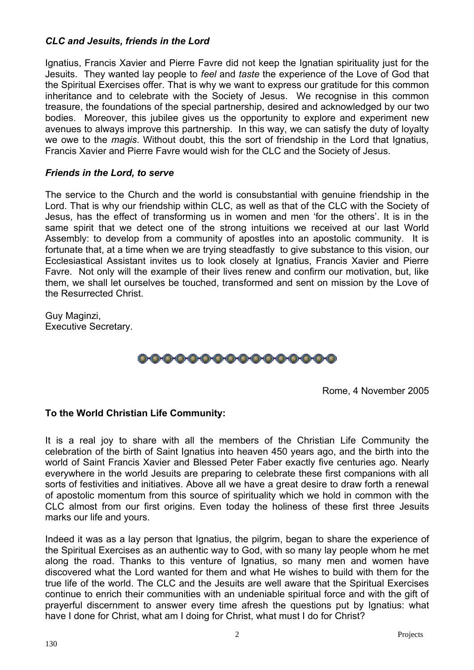### *CLC and Jesuits, friends in the Lord*

Ignatius, Francis Xavier and Pierre Favre did not keep the Ignatian spirituality just for the Jesuits. They wanted lay people to *feel* and *taste* the experience of the Love of God that the Spiritual Exercises offer. That is why we want to express our gratitude for this common inheritance and to celebrate with the Society of Jesus. We recognise in this common treasure, the foundations of the special partnership, desired and acknowledged by our two bodies. Moreover, this jubilee gives us the opportunity to explore and experiment new avenues to always improve this partnership. In this way, we can satisfy the duty of loyalty we owe to the *magis*. Without doubt, this the sort of friendship in the Lord that Ignatius, Francis Xavier and Pierre Favre would wish for the CLC and the Society of Jesus.

#### *Friends in the Lord, to serve*

The service to the Church and the world is consubstantial with genuine friendship in the Lord. That is why our friendship within CLC, as well as that of the CLC with the Society of Jesus, has the effect of transforming us in women and men 'for the others'. It is in the same spirit that we detect one of the strong intuitions we received at our last World Assembly: to develop from a community of apostles into an apostolic community. It is fortunate that, at a time when we are trying steadfastly to give substance to this vision, our Ecclesiastical Assistant invites us to look closely at Ignatius, Francis Xavier and Pierre Favre. Not only will the example of their lives renew and confirm our motivation, but, like them, we shall let ourselves be touched, transformed and sent on mission by the Love of the Resurrected Christ.

Guy Maginzi, Executive Secretary.



Rome, 4 November 2005

#### **To the World Christian Life Community:**

It is a real joy to share with all the members of the Christian Life Community the celebration of the birth of Saint Ignatius into heaven 450 years ago, and the birth into the world of Saint Francis Xavier and Blessed Peter Faber exactly five centuries ago. Nearly everywhere in the world Jesuits are preparing to celebrate these first companions with all sorts of festivities and initiatives. Above all we have a great desire to draw forth a renewal of apostolic momentum from this source of spirituality which we hold in common with the CLC almost from our first origins. Even today the holiness of these first three Jesuits marks our life and yours.

Indeed it was as a lay person that Ignatius, the pilgrim, began to share the experience of the Spiritual Exercises as an authentic way to God, with so many lay people whom he met along the road. Thanks to this venture of Ignatius, so many men and women have discovered what the Lord wanted for them and what He wishes to build with them for the true life of the world. The CLC and the Jesuits are well aware that the Spiritual Exercises continue to enrich their communities with an undeniable spiritual force and with the gift of prayerful discernment to answer every time afresh the questions put by Ignatius: what have I done for Christ, what am I doing for Christ, what must I do for Christ?